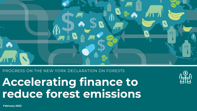

#### PROGRESS ON THE NEW YORK DECLARATION ON FORESTS

**Accelerating finance to reduce forest emissions**

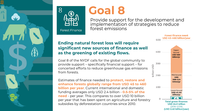



**Forest Finance** 

# **Goal 8**

Provide support for the development and implementation of strategies to reduce forest emissions

### **Ending natural forest loss will require significant new sources of finance as well as the greening of existing flows.**

Goal 8 of the NYDF calls for the global community to provide support – specifically financial support – for concerted efforts to reduce greenhouse gas emissions from forests.

Estimates of finance needed to **protect, restore and enhance forests globally range from USD 45 to 460 billion per year**. Current international and domestic funding averages only USD 2.4 billion - **0.5-5% of the need** - per year. This compares to over USD 10 billion per year that has been spent on agriculture and forestry subsidies by deforestation countries since 2010.

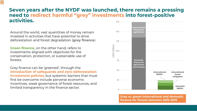#### 175 **Seven years after the NYDF was launched, there remains a pressing need to redirect harmful "grey" investments into forest-positive activities.**

Around the world, vast quantities of money remain invested in activities that have potential to drive deforestation and forest degradation (**grey finance**).

**Green finance**, on the other hand, refers to investments aligned with objectives for the conservation, protection, or sustainable use of forests.

≣

Grey finance can be 'greened', through the **introduction of safeguards and zero-deforestation investment policies**, but systemic barriers that must first be overcome include perverse economic incentives, weak governance of forest resources, and limited transparency in the finance sector.



**Grey vs. green international and domestic finance for forests between 2010-2019**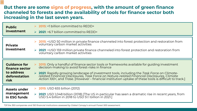#### **But there are some signs of progress, with the amount of green finance channeled to forests and the availability of tools for finance sector both increasing in the last seven years.**

| <b>Public</b><br>investment                                                  | $\triangleright$ 2015: <1 billion committed to REDD+<br>$\triangleright$ 2021: >6.7 billion committed to REDD+                                                                                                                                                                                                                                                                                                                                                 |
|------------------------------------------------------------------------------|----------------------------------------------------------------------------------------------------------------------------------------------------------------------------------------------------------------------------------------------------------------------------------------------------------------------------------------------------------------------------------------------------------------------------------------------------------------|
| <b>Private</b><br>investment                                                 | <b>→ 2015</b> : <usd 50="" and="" channeled="" finance="" forest="" from<br="" in="" into="" million="" private="" protection="" restoration="">voluntary carbon market activities<br/>▶ 2021: &gt;USD 159 million private finance channeled into forest protection and restoration from<br/>voluntary carbon market activities</usd>                                                                                                                          |
| <b>Guidance for</b><br>finance sector<br>to address<br>deforestation<br>risk | <b>2015</b> : Only a handful of finance sector tools or frameworks available for guiding investment<br>decision-making to avoid forest-risks in finance<br>> 2021: Rapidly growing landscape of investment tools, including the Task Force on Climate-<br>related Financial Disclosures, Task Force on Nature-related Financial Disclosures, Climate<br>Action 100+, and Trase. [However – financial institution uptake of these tools is difficult to track.] |
| <b>Assets under</b><br>management<br>In ESG funds                            | $\triangleright$ 2015: USD 655 billion (2012)<br><b>2021</b> : USD 1,048 billion (2018) [The US in particular has seen a dramatic rise in recent years, from<br>$\blacktriangleright$<br>USD 5.4 billion in 2018 to USD 51.1 billion in 2021.]                                                                                                                                                                                                                 |

*\*Of the 350 companies and 150 financial institutions assessed by Global Canopy's annual Forest 500 assessment*.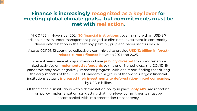## **Finance is increasingly recognized as a key lever for meeting global climate goals… but commitments must be met with real action.**

 $\equiv$ 

At COP26 in November 2021, **30 financial institutions** covering more than USD 8.7 trillion in assets under management pledged to eliminate investment in commoditydriven deforestation in the beef, soy, palm oil, pulp and paper sectors by 2025.

Also at COP26, 12 countries collectively committed to provide **USD 12 billion in forestrelated climate finance** between 2021 and 2025.

In recent years, several major investors have **publicly divested** from deforestationlinked activities or **implemented safeguards** to this end. Nonetheless, the COVID-19 pandemic may have negatively impacted progress, with one report finding that during the early months of the COVID-19 pandemic, a group of the world's largest financial institutions actually **increased their investments to deforestation-linked companies**, by USD 8 billion.

Of the financial institutions with a deforestation policy in place, **only 40%** are reporting on policy implementation, suggesting that high-level commitments must be accompanied with implementation transparency.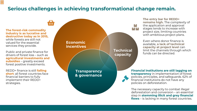# **Serious challenges in achieving transformational change remain.**

**The forest-risk commodity industry is as lucrative and destructive today as in 2015,**  while forests are still not valued for the essential services they provide.

m

 $\equiv$ 

Public and private finance for drivers of forest loss – such as **agricultural investments and subsidies** – greatly exceed forest positive investments.

REDD+ finance is still **falling short**: all forest countries face financial barriers to fully implement their REDD+ strategies.



**The entry bar for REDD+ remains high.** The complexity of the application and approval stages tends to increase with project size, limiting countries with ambitious project plans.

Even where donor finance is available, **a lack of technical capacity at project level** can limit the channels through which funds can be directed.

**Financial institutions are still lagging on transparency** in implementation of forest policies, principles, and safeguards. 62% of financial institutions do not have any policies on deforestation.

The necessary capacity to combat illegal deforestation and conversion – an essential step in **stemming illicit and grey financial flows** – is lacking in many forest countries.